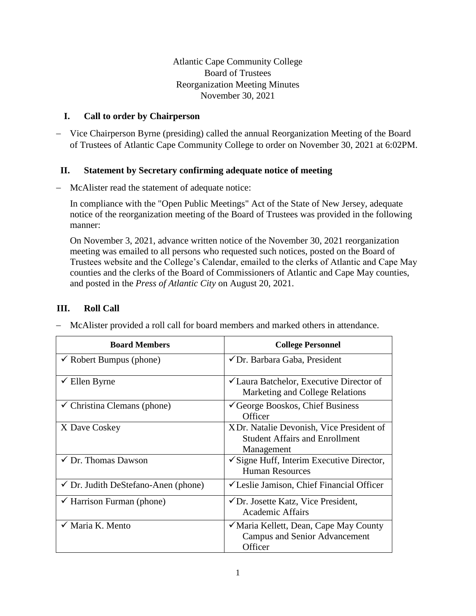Atlantic Cape Community College Board of Trustees Reorganization Meeting Minutes November 30, 2021

#### **I. Call to order by Chairperson**

− Vice Chairperson Byrne (presiding) called the annual Reorganization Meeting of the Board of Trustees of Atlantic Cape Community College to order on November 30, 2021 at 6:02PM.

## **II. Statement by Secretary confirming adequate notice of meeting**

− McAlister read the statement of adequate notice:

In compliance with the "Open Public Meetings" Act of the State of New Jersey, adequate notice of the reorganization meeting of the Board of Trustees was provided in the following manner:

On November 3, 2021, advance written notice of the November 30, 2021 reorganization meeting was emailed to all persons who requested such notices, posted on the Board of Trustees website and the College's Calendar, emailed to the clerks of Atlantic and Cape May counties and the clerks of the Board of Commissioners of Atlantic and Cape May counties, and posted in the *Press of Atlantic City* on August 20, 2021.

#### **III. Roll Call**

| <b>Board Members</b>                           | <b>College Personnel</b>                                                                           |
|------------------------------------------------|----------------------------------------------------------------------------------------------------|
| $\checkmark$ Robert Bumpus (phone)             | √Dr. Barbara Gaba, President                                                                       |
| $\checkmark$ Ellen Byrne                       | <del></del> <del>∠</del> Laura Batchelor, Executive Director of<br>Marketing and College Relations |
| $\checkmark$ Christina Clemans (phone)         | $\checkmark$ George Booskos, Chief Business<br>Officer                                             |
| X Dave Coskey                                  | XDr. Natalie Devonish, Vice President of<br><b>Student Affairs and Enrollment</b><br>Management    |
| $\checkmark$ Dr. Thomas Dawson                 | √ Signe Huff, Interim Executive Director,<br><b>Human Resources</b>                                |
| $\checkmark$ Dr. Judith DeStefano-Anen (phone) | √Leslie Jamison, Chief Financial Officer                                                           |
| $\checkmark$ Harrison Furman (phone)           | $\checkmark$ Dr. Josette Katz, Vice President,<br><b>Academic Affairs</b>                          |
| $\checkmark$ Maria K. Mento                    | √ Maria Kellett, Dean, Cape May County<br><b>Campus and Senior Advancement</b><br>Officer          |

− McAlister provided a roll call for board members and marked others in attendance.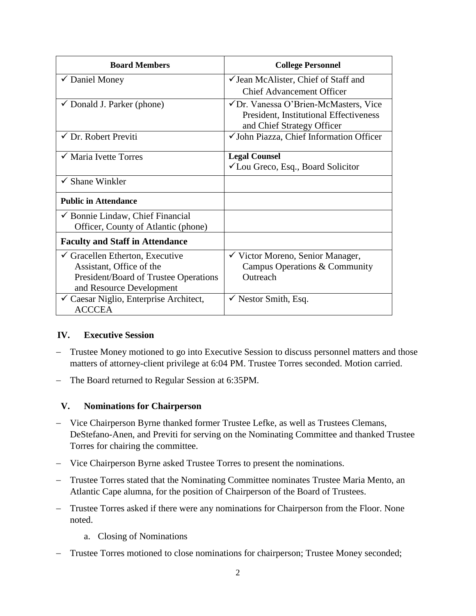| <b>Board Members</b>                                                                                                                        | <b>College Personnel</b>                                                                                     |
|---------------------------------------------------------------------------------------------------------------------------------------------|--------------------------------------------------------------------------------------------------------------|
| $\checkmark$ Daniel Money                                                                                                                   | $\checkmark$ Jean McAlister, Chief of Staff and<br><b>Chief Advancement Officer</b>                          |
| $\checkmark$ Donald J. Parker (phone)                                                                                                       | √Dr. Vanessa O'Brien-McMasters, Vice<br>President, Institutional Effectiveness<br>and Chief Strategy Officer |
| $\checkmark$ Dr. Robert Previti                                                                                                             | √John Piazza, Chief Information Officer                                                                      |
| $\checkmark$ Maria Ivette Torres                                                                                                            | <b>Legal Counsel</b><br><del></del> ∕ Lou Greco, Esq., Board Solicitor                                       |
| $\checkmark$ Shane Winkler                                                                                                                  |                                                                                                              |
| <b>Public in Attendance</b>                                                                                                                 |                                                                                                              |
| $\checkmark$ Bonnie Lindaw, Chief Financial<br>Officer, County of Atlantic (phone)                                                          |                                                                                                              |
| <b>Faculty and Staff in Attendance</b>                                                                                                      |                                                                                                              |
| $\checkmark$ Gracellen Etherton, Executive<br>Assistant, Office of the<br>President/Board of Trustee Operations<br>and Resource Development | ✓ Victor Moreno, Senior Manager,<br>Campus Operations & Community<br>Outreach                                |
| $\checkmark$ Caesar Niglio, Enterprise Architect,<br><b>ACCCEA</b>                                                                          | $\checkmark$ Nestor Smith, Esq.                                                                              |

## **IV. Executive Session**

- Trustee Money motioned to go into Executive Session to discuss personnel matters and those matters of attorney-client privilege at 6:04 PM. Trustee Torres seconded. Motion carried.
- − The Board returned to Regular Session at 6:35PM.

#### **V. Nominations for Chairperson**

- − Vice Chairperson Byrne thanked former Trustee Lefke, as well as Trustees Clemans, DeStefano-Anen, and Previti for serving on the Nominating Committee and thanked Trustee Torres for chairing the committee.
- − Vice Chairperson Byrne asked Trustee Torres to present the nominations.
- − Trustee Torres stated that the Nominating Committee nominates Trustee Maria Mento, an Atlantic Cape alumna, for the position of Chairperson of the Board of Trustees.
- − Trustee Torres asked if there were any nominations for Chairperson from the Floor. None noted.
	- a. Closing of Nominations
- Trustee Torres motioned to close nominations for chairperson; Trustee Money seconded;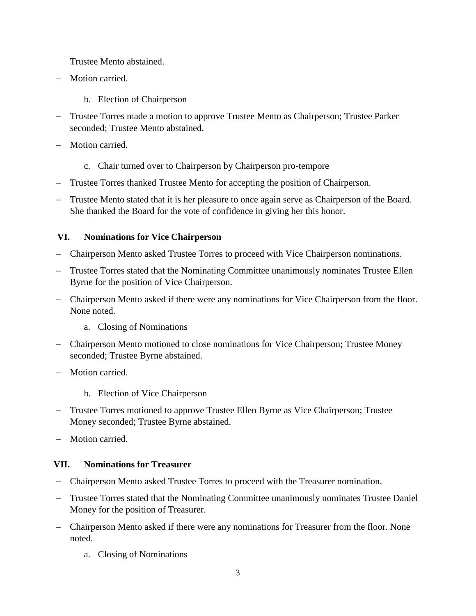Trustee Mento abstained.

- − Motion carried.
	- b. Election of Chairperson
- − Trustee Torres made a motion to approve Trustee Mento as Chairperson; Trustee Parker seconded; Trustee Mento abstained.
- Motion carried.
	- c. Chair turned over to Chairperson by Chairperson pro-tempore
- − Trustee Torres thanked Trustee Mento for accepting the position of Chairperson.
- − Trustee Mento stated that it is her pleasure to once again serve as Chairperson of the Board. She thanked the Board for the vote of confidence in giving her this honor.

## **VI. Nominations for Vice Chairperson**

- − Chairperson Mento asked Trustee Torres to proceed with Vice Chairperson nominations.
- − Trustee Torres stated that the Nominating Committee unanimously nominates Trustee Ellen Byrne for the position of Vice Chairperson.
- − Chairperson Mento asked if there were any nominations for Vice Chairperson from the floor. None noted.
	- a. Closing of Nominations
- − Chairperson Mento motioned to close nominations for Vice Chairperson; Trustee Money seconded; Trustee Byrne abstained.
- − Motion carried.
	- b. Election of Vice Chairperson
- Trustee Torres motioned to approve Trustee Ellen Byrne as Vice Chairperson; Trustee Money seconded; Trustee Byrne abstained.
- Motion carried.

# **VII. Nominations for Treasurer**

- − Chairperson Mento asked Trustee Torres to proceed with the Treasurer nomination.
- Trustee Torres stated that the Nominating Committee unanimously nominates Trustee Daniel Money for the position of Treasurer.
- − Chairperson Mento asked if there were any nominations for Treasurer from the floor. None noted.
	- a. Closing of Nominations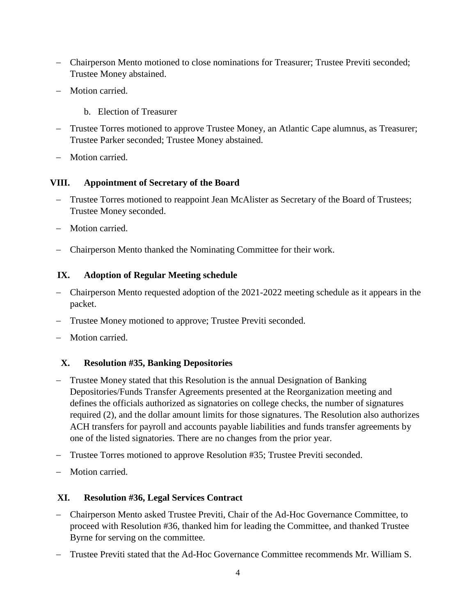- − Chairperson Mento motioned to close nominations for Treasurer; Trustee Previti seconded; Trustee Money abstained.
- Motion carried.
	- b. Election of Treasurer
- − Trustee Torres motioned to approve Trustee Money, an Atlantic Cape alumnus, as Treasurer; Trustee Parker seconded; Trustee Money abstained.
- − Motion carried.

## **VIII. Appointment of Secretary of the Board**

- − Trustee Torres motioned to reappoint Jean McAlister as Secretary of the Board of Trustees; Trustee Money seconded.
- − Motion carried.
- − Chairperson Mento thanked the Nominating Committee for their work.

## **IX. Adoption of Regular Meeting schedule**

- − Chairperson Mento requested adoption of the 2021-2022 meeting schedule as it appears in the packet.
- − Trustee Money motioned to approve; Trustee Previti seconded.
- − Motion carried.

# **X. Resolution #35, Banking Depositories**

- − Trustee Money stated that this Resolution is the annual Designation of Banking Depositories/Funds Transfer Agreements presented at the Reorganization meeting and defines the officials authorized as signatories on college checks, the number of signatures required (2), and the dollar amount limits for those signatures. The Resolution also authorizes ACH transfers for payroll and accounts payable liabilities and funds transfer agreements by one of the listed signatories. There are no changes from the prior year.
- − Trustee Torres motioned to approve Resolution #35; Trustee Previti seconded.
- − Motion carried.

## **XI. Resolution #36, Legal Services Contract**

- − Chairperson Mento asked Trustee Previti, Chair of the Ad-Hoc Governance Committee, to proceed with Resolution #36, thanked him for leading the Committee, and thanked Trustee Byrne for serving on the committee.
- − Trustee Previti stated that the Ad-Hoc Governance Committee recommends Mr. William S.